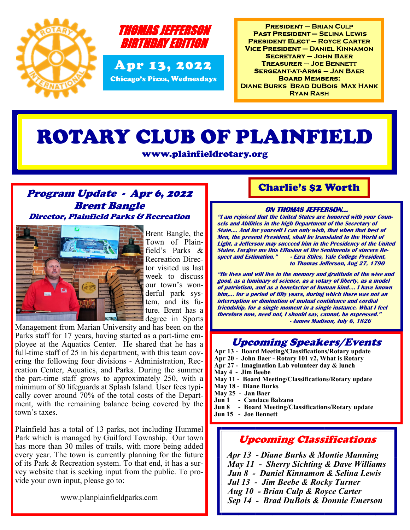



**PRESIDENT - BRIAN CULP PAST PRESIDENT - SELINA LEWIS PRESIDENT ELECT - ROYCE CARTER VICE PRESIDENT - DANIEL KINNAMON SECRETARY - JOHN BAER TREASURER - JOE BENNETT SERGEANT-AT-ARMS - JAN BAER BOARD MEMBERS: DIANE BURKS BRAD DUBOIS MAX HANK RYAN RASH** 

# ROTARY CLUB OF PLAINFIELD

www.plainfieldrotary.org

### Program Update - Apr 6, 2022 Brent Bangle Director, Plainfield Parks & Recreation



Brent Bangle, the Town of Plainfield's Parks & Recreation Director visited us last week to discuss our town's wonderful park system, and its future. Brent has a degree in Sports

Management from Marian University and has been on the Parks staff for 17 years, having started as a part-time employee at the Aquatics Center. He shared that he has a full-time staff of 25 in his department, with this team covering the following four divisions - Administration, Recreation Center, Aquatics, and Parks. During the summer the part-time staff grows to approximately 250, with a minimum of 80 lifeguards at Splash Island. User fees typically cover around 70% of the total costs of the Department, with the remaining balance being covered by the town's taxes.

Plainfield has a total of 13 parks, not including Hummel Park which is managed by Guilford Township. Our town has more than 30 miles of trails, with more being added every year. The town is currently planning for the future of its Park & Recreation system. To that end, it has a survey website that is seeking input from the public. To provide your own input, please go to:

www.planplainfieldparks.com

## Charlie's \$2 Worth

#### **ON THOMAS JEFFERSON…**

**"I am rejoiced that the United States are honored with your Counsels and Abilities in the high Department of the Secretary of State…. And for yourself I can only wish, that when that best of Men, the present President, shall be translated to the World of Light, a Jefferson may succeed him in the Presidency of the United States. Forgive me this Effusion of the Sentiments of sincere Respect and Estimation." - Ezra Stiles, Yale College President, to Thomas Jefferson, Aug 27, 1790**

**"He lives and will live in the memory and gratitude of the wise and good, as a luminary of science, as a votary of liberty, as a model of patriotism, and as a benefactor of human kind…. I have known him,… for a period of fifty years, during which there was not an interruption or diminution of mutual confidence and cordial friendship, for a single moment in a single instance. What I feel therefore now, need not, I should say, cannot, be expressed." - James Madison, July 6, 1826**

## Upcoming Speakers/Events

- **Apr 13 - Board Meeting/Classifications/Rotary update**
- **Apr 20 - John Baer - Rotary 101 v2, What is Rotary**
- **Apr 27 - Imagination Lab volunteer day & lunch**
- **May 4 - Jim Beebe**
- **May 11 - Board Meeting/Classifications/Rotary update**
- **May 18 - Diane Burks**
- **May 25 - Jan Baer**
- **Jun 1 - Candace Balzano**
- **Jun 8 - Board Meeting/Classifications/Rotary update**
- **Jun 15 - Joe Bennett**

# Upcoming Classifications

 *Apr 13 - Diane Burks & Montie Manning May 11 - Sherry Sichting & Dave Williams Jun 8 - Daniel Kinnamon & Selina Lewis Jul 13 - Jim Beebe & Rocky Turner Aug 10 - Brian Culp & Royce Carter Sep 14 - Brad DuBois & Donnie Emerson*